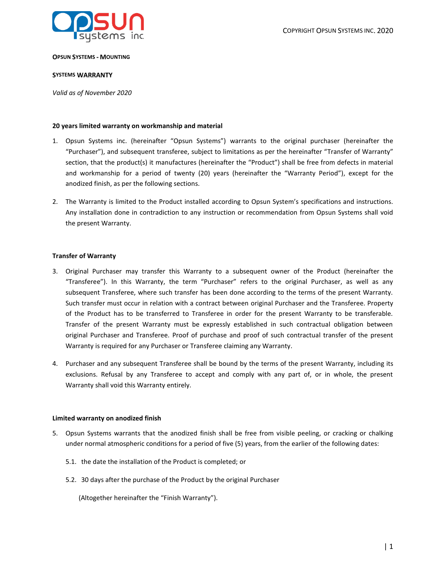

#### **OPSUN SYSTEMS - MOUNTING**

### **SYSTEMS WARRANTY**

*Valid as of November 2020*

### **20 years limited warranty on workmanship and material**

- 1. Opsun Systems inc. (hereinafter "Opsun Systems") warrants to the original purchaser (hereinafter the "Purchaser"), and subsequent transferee, subject to limitations as per the hereinafter "Transfer of Warranty" section, that the product(s) it manufactures (hereinafter the "Product") shall be free from defects in material and workmanship for a period of twenty (20) years (hereinafter the "Warranty Period"), except for the anodized finish, as per the following sections.
- 2. The Warranty is limited to the Product installed according to Opsun System's specifications and instructions. Any installation done in contradiction to any instruction or recommendation from Opsun Systems shall void the present Warranty.

#### **Transfer of Warranty**

- 3. Original Purchaser may transfer this Warranty to a subsequent owner of the Product (hereinafter the "Transferee"). In this Warranty, the term "Purchaser" refers to the original Purchaser, as well as any subsequent Transferee, where such transfer has been done according to the terms of the present Warranty. Such transfer must occur in relation with a contract between original Purchaser and the Transferee. Property of the Product has to be transferred to Transferee in order for the present Warranty to be transferable. Transfer of the present Warranty must be expressly established in such contractual obligation between original Purchaser and Transferee. Proof of purchase and proof of such contractual transfer of the present Warranty is required for any Purchaser or Transferee claiming any Warranty.
- 4. Purchaser and any subsequent Transferee shall be bound by the terms of the present Warranty, including its exclusions. Refusal by any Transferee to accept and comply with any part of, or in whole, the present Warranty shall void this Warranty entirely.

#### **Limited warranty on anodized finish**

- 5. Opsun Systems warrants that the anodized finish shall be free from visible peeling, or cracking or chalking under normal atmospheric conditions for a period of five (5) years, from the earlier of the following dates:
	- 5.1. the date the installation of the Product is completed; or
	- 5.2. 30 days after the purchase of the Product by the original Purchaser

(Altogether hereinafter the "Finish Warranty").